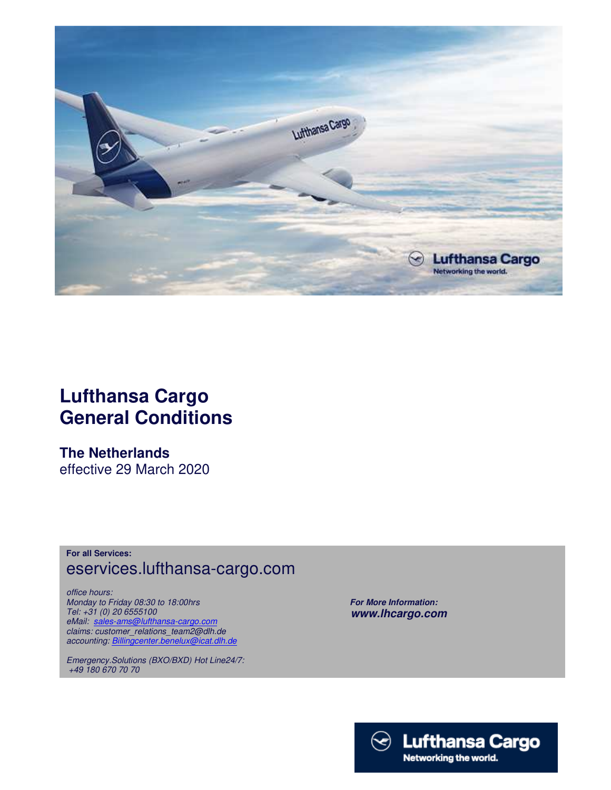

## **Lufthansa Cargo General Conditions**

**The Netherlands**  effective 29 March 2020

**For all Services:**  eservices.lufthansa-cargo.com

*office hours: Monday to Friday 08:30 to 18:00hrs Tel: +31 (0) 20 6555100 eMail: sales-ams@lufthansa-cargo.com claims: customer\_relations\_team2@dlh.de accounting: Billingcenter.benelux@icat.dlh.de*

*Emergency.Solutions (BXO/BXD) Hot Line24/7: +49 180 670 70 70*

 *For More Information: www.lhcargo.com* 

> $\odot$  Lufthansa Cargo Networking the world.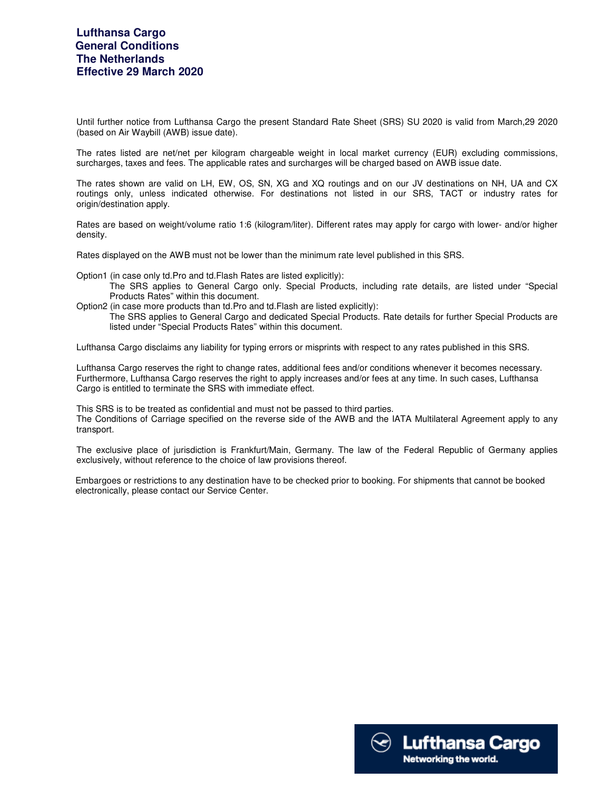Until further notice from Lufthansa Cargo the present Standard Rate Sheet (SRS) SU 2020 is valid from March,29 2020 (based on Air Waybill (AWB) issue date).

The rates listed are net/net per kilogram chargeable weight in local market currency (EUR) excluding commissions, surcharges, taxes and fees. The applicable rates and surcharges will be charged based on AWB issue date.

The rates shown are valid on LH, EW, OS, SN, XG and XQ routings and on our JV destinations on NH, UA and CX routings only, unless indicated otherwise. For destinations not listed in our SRS, TACT or industry rates for origin/destination apply.

Rates are based on weight/volume ratio 1:6 (kilogram/liter). Different rates may apply for cargo with lower- and/or higher density.

Rates displayed on the AWB must not be lower than the minimum rate level published in this SRS.

Option1 (in case only td.Pro and td.Flash Rates are listed explicitly):

The SRS applies to General Cargo only. Special Products, including rate details, are listed under "Special Products Rates" within this document.

Option2 (in case more products than td.Pro and td.Flash are listed explicitly):

The SRS applies to General Cargo and dedicated Special Products. Rate details for further Special Products are listed under "Special Products Rates" within this document.

Lufthansa Cargo disclaims any liability for typing errors or misprints with respect to any rates published in this SRS.

Lufthansa Cargo reserves the right to change rates, additional fees and/or conditions whenever it becomes necessary. Furthermore, Lufthansa Cargo reserves the right to apply increases and/or fees at any time. In such cases, Lufthansa Cargo is entitled to terminate the SRS with immediate effect.

This SRS is to be treated as confidential and must not be passed to third parties.

The Conditions of Carriage specified on the reverse side of the AWB and the IATA Multilateral Agreement apply to any transport.

The exclusive place of jurisdiction is Frankfurt/Main, Germany. The law of the Federal Republic of Germany applies exclusively, without reference to the choice of law provisions thereof.

 Embargoes or restrictions to any destination have to be checked prior to booking. For shipments that cannot be booked electronically, please contact our Service Center.

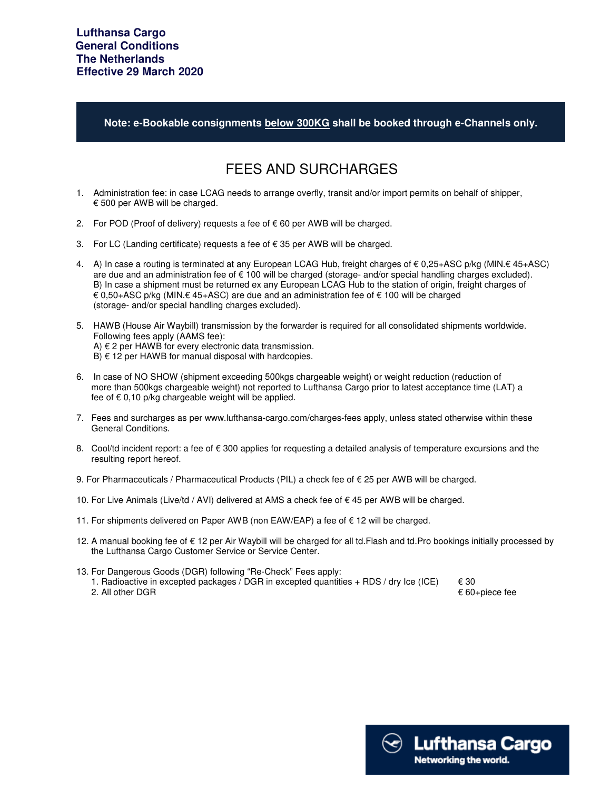**Note: e-Bookable consignments below 300KG shall be booked through e-Channels only.**

## FEES AND SURCHARGES

- 1. Administration fee: in case LCAG needs to arrange overfly, transit and/or import permits on behalf of shipper, € 500 per AWB will be charged.
- 2. For POD (Proof of delivery) requests a fee of  $\epsilon$  60 per AWB will be charged.
- 3. For LC (Landing certificate) requests a fee of  $€$  35 per AWB will be charged.
- 4. A) In case a routing is terminated at any European LCAG Hub, freight charges of € 0,25+ASC p/kg (MIN.€ 45+ASC) are due and an administration fee of € 100 will be charged (storage- and/or special handling charges excluded). B) In case a shipment must be returned ex any European LCAG Hub to the station of origin, freight charges of € 0,50+ASC p/kg (MIN.€ 45+ASC) are due and an administration fee of € 100 will be charged (storage- and/or special handling charges excluded).
- 5. HAWB (House Air Waybill) transmission by the forwarder is required for all consolidated shipments worldwide. Following fees apply (AAMS fee): A)  $€$  2 per HAWB for every electronic data transmission.  $B$ )  $\in$  12 per HAWB for manual disposal with hardcopies.
- 6. In case of NO SHOW (shipment exceeding 500kgs chargeable weight) or weight reduction (reduction of more than 500kgs chargeable weight) not reported to Lufthansa Cargo prior to latest acceptance time (LAT) a fee of € 0,10 p/kg chargeable weight will be applied.
- 7. Fees and surcharges as per www.lufthansa-cargo.com/charges-fees apply, unless stated otherwise within these General Conditions.
- 8. Cool/td incident report: a fee of  $\epsilon$  300 applies for requesting a detailed analysis of temperature excursions and the resulting report hereof.
- 9. For Pharmaceuticals / Pharmaceutical Products (PIL) a check fee of  $\epsilon$  25 per AWB will be charged.
- 10. For Live Animals (Live/td / AVI) delivered at AMS a check fee of € 45 per AWB will be charged.
- 11. For shipments delivered on Paper AWB (non EAW/EAP) a fee of € 12 will be charged.
- 12. A manual booking fee of € 12 per Air Waybill will be charged for all td.Flash and td.Pro bookings initially processed by the Lufthansa Cargo Customer Service or Service Center.
- 13. For Dangerous Goods (DGR) following "Re-Check" Fees apply: 1. Radioactive in excepted packages / DGR in excepted quantities + RDS / dry Ice (ICE)  $\epsilon$  30 2. All other DGR  $\epsilon$  60+piece fee